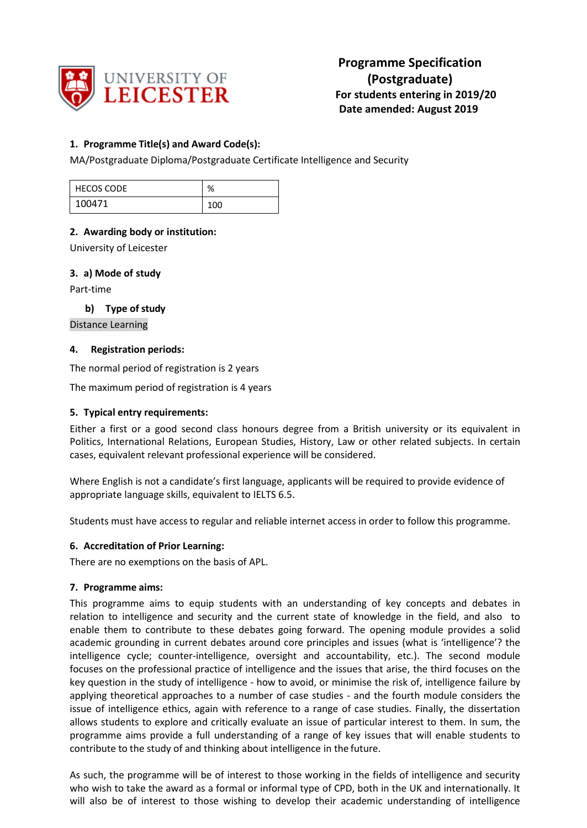

# **1. Programme Title(s) and Award Code(s):**

MA/Postgraduate Diploma/Postgraduate Certificate Intelligence and Security

| <b>HECOS CODE</b> | $\mathbf{O}/$<br>7ο |
|-------------------|---------------------|
| 100471            | 100                 |

# **2. Awarding body or institution:**

University of Leicester

## **3. a) Mode of study**

Part-time

**b) Type of study**

Distance Learning

## **4. Registration periods:**

The normal period of registration is 2 years

The maximum period of registration is 4 years

## **5. Typical entry requirements:**

Either a first or a good second class honours degree from a British university or its equivalent in Politics, International Relations, European Studies, History, Law or other related subjects. In certain cases, equivalent relevant professional experience will be considered.

Where English is not a candidate's first language, applicants will be required to provide evidence of appropriate language skills, equivalent to IELTS 6.5.

Students must have access to regular and reliable internet access in order to follow this programme.

## **6. Accreditation of Prior Learning:**

There are no exemptions on the basis of APL.

## **7. Programme aims:**

This programme aims to equip students with an understanding of key concepts and debates in relation to intelligence and security and the current state of knowledge in the field, and also to enable them to contribute to these debates going forward. The opening module provides a solid academic grounding in current debates around core principles and issues (what is 'intelligence'? the intelligence cycle; counter-intelligence, oversight and accountability, etc.). The second module focuses on the professional practice of intelligence and the issues that arise, the third focuses on the key question in the study of intelligence - how to avoid, or minimise the risk of, intelligence failure by applying theoretical approaches to a number of case studies - and the fourth module considers the issue of intelligence ethics, again with reference to a range of case studies. Finally, the dissertation allows students to explore and critically evaluate an issue of particular interest to them. In sum, the programme aims provide a full understanding of a range of key issues that will enable students to contribute to the study of and thinking about intelligence in the future.

As such, the programme will be of interest to those working in the fields of intelligence and security who wish to take the award as a formal or informal type of CPD, both in the UK and internationally. It will also be of interest to those wishing to develop their academic understanding of intelligence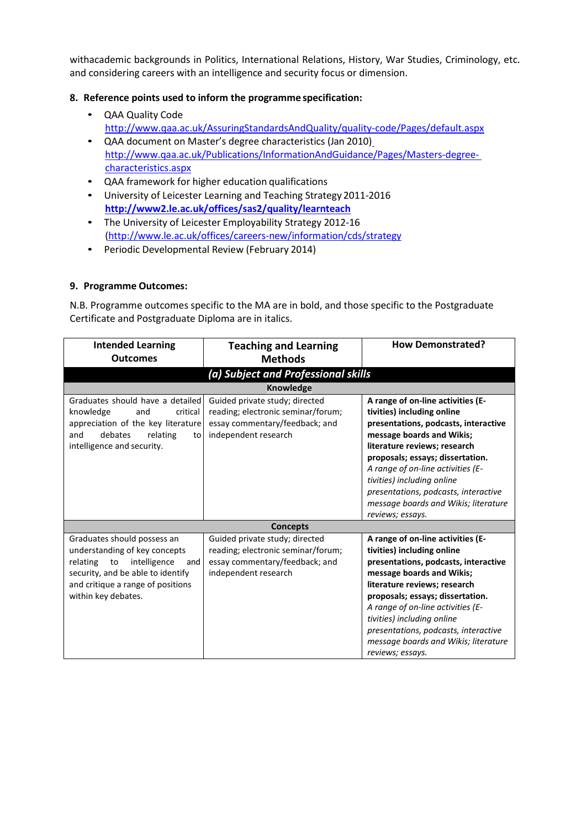withacademic backgrounds in Politics, International Relations, History, War Studies, Criminology, etc. and considering careers with an intelligence and security focus or dimension.

# **8. Reference points used to inform the programme specification:**

- QAA Quality Code <http://www.qaa.ac.uk/AssuringStandardsAndQuality/quality-code/Pages/default.aspx>
- QAA document on Master's degree characteristics (Jan 2010[\)](http://www.qaa.ac.uk/Publications/InformationAndGuidance/Pages/Masters-degree-characteristics.aspx) [http://www.qaa.ac.uk/Publications/InformationAndGuidance/Pages/Masters-degree](http://www.qaa.ac.uk/Publications/InformationAndGuidance/Pages/Masters-degree-characteristics.aspx)[characteristics.aspx](http://www.qaa.ac.uk/Publications/InformationAndGuidance/Pages/Masters-degree-characteristics.aspx)
- QAA framework for higher education qualifications
- University of Leicester Learning and Teaching Strategy 2011-2016 **<http://www2.le.ac.uk/offices/sas2/quality/learnteach>**
- The University of Leicester Employability Strategy 2012-16 [\(http://www.le.ac.uk/offices/careers-new/information/cds/strategy](http://www.le.ac.uk/offices/careers-new/information/cds/strategy)
- Periodic Developmental Review (February 2014)

## **9. Programme Outcomes:**

N.B. Programme outcomes specific to the MA are in bold, and those specific to the Postgraduate Certificate and Postgraduate Diploma are in italics.

| <b>Intended Learning</b><br><b>Outcomes</b>                                                                                                                                                         | <b>Teaching and Learning</b><br><b>Methods</b>                                                                                 | <b>How Demonstrated?</b>                                                                                                                                                                                                                                                                                                                                                        |  |  |
|-----------------------------------------------------------------------------------------------------------------------------------------------------------------------------------------------------|--------------------------------------------------------------------------------------------------------------------------------|---------------------------------------------------------------------------------------------------------------------------------------------------------------------------------------------------------------------------------------------------------------------------------------------------------------------------------------------------------------------------------|--|--|
|                                                                                                                                                                                                     | (a) Subject and Professional skills                                                                                            |                                                                                                                                                                                                                                                                                                                                                                                 |  |  |
|                                                                                                                                                                                                     | <b>Knowledge</b>                                                                                                               |                                                                                                                                                                                                                                                                                                                                                                                 |  |  |
| Graduates should have a detailed<br>critical<br>knowledge<br>and<br>appreciation of the key literature<br>debates<br>relating<br>and<br>to<br>intelligence and security.                            | Guided private study; directed<br>reading; electronic seminar/forum;<br>essay commentary/feedback; and<br>independent research | A range of on-line activities (E-<br>tivities) including online<br>presentations, podcasts, interactive<br>message boards and Wikis;<br>literature reviews; research<br>proposals; essays; dissertation.<br>A range of on-line activities (E-<br>tivities) including online<br>presentations, podcasts, interactive<br>message boards and Wikis; literature<br>reviews; essays. |  |  |
|                                                                                                                                                                                                     | <b>Concepts</b>                                                                                                                |                                                                                                                                                                                                                                                                                                                                                                                 |  |  |
| Graduates should possess an<br>understanding of key concepts<br>relating to<br>intelligence<br>and<br>security, and be able to identify<br>and critique a range of positions<br>within key debates. | Guided private study; directed<br>reading; electronic seminar/forum;<br>essay commentary/feedback; and<br>independent research | A range of on-line activities (E-<br>tivities) including online<br>presentations, podcasts, interactive<br>message boards and Wikis;<br>literature reviews; research<br>proposals; essays; dissertation.<br>A range of on-line activities (E-<br>tivities) including online<br>presentations, podcasts, interactive<br>message boards and Wikis; literature<br>reviews; essays. |  |  |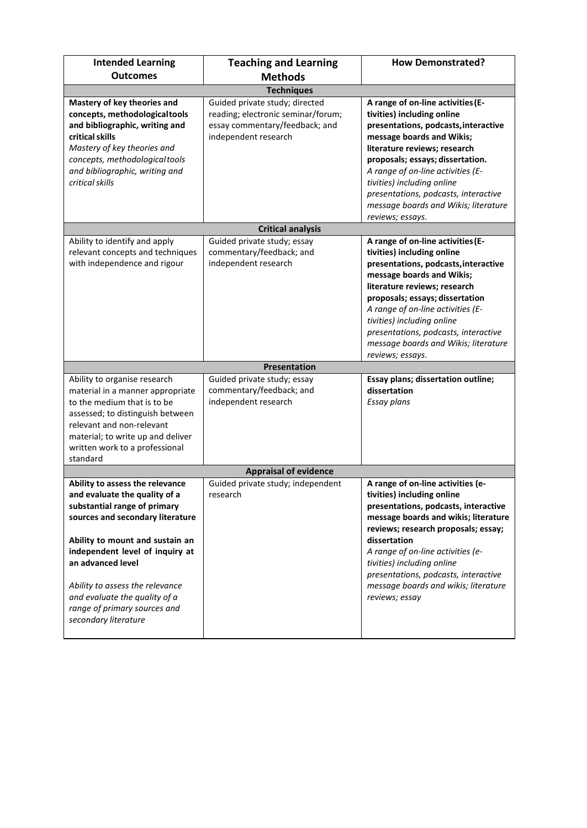| <b>Intended Learning</b><br><b>Outcomes</b>                                                                                                                                                                                                                                                                                                                 | <b>Teaching and Learning</b><br><b>Methods</b>                                                                                 | <b>How Demonstrated?</b>                                                                                                                                                                                                                                                                                                                                                        |  |  |  |
|-------------------------------------------------------------------------------------------------------------------------------------------------------------------------------------------------------------------------------------------------------------------------------------------------------------------------------------------------------------|--------------------------------------------------------------------------------------------------------------------------------|---------------------------------------------------------------------------------------------------------------------------------------------------------------------------------------------------------------------------------------------------------------------------------------------------------------------------------------------------------------------------------|--|--|--|
|                                                                                                                                                                                                                                                                                                                                                             | <b>Techniques</b>                                                                                                              |                                                                                                                                                                                                                                                                                                                                                                                 |  |  |  |
| Mastery of key theories and<br>concepts, methodological tools<br>and bibliographic, writing and<br>critical skills<br>Mastery of key theories and<br>concepts, methodological tools<br>and bibliographic, writing and<br>critical skills                                                                                                                    | Guided private study; directed<br>reading; electronic seminar/forum;<br>essay commentary/feedback; and<br>independent research | A range of on-line activities (E-<br>tivities) including online<br>presentations, podcasts, interactive<br>message boards and Wikis;<br>literature reviews; research<br>proposals; essays; dissertation.<br>A range of on-line activities (E-<br>tivities) including online<br>presentations, podcasts, interactive<br>message boards and Wikis; literature<br>reviews; essays. |  |  |  |
|                                                                                                                                                                                                                                                                                                                                                             | <b>Critical analysis</b>                                                                                                       |                                                                                                                                                                                                                                                                                                                                                                                 |  |  |  |
| Ability to identify and apply<br>relevant concepts and techniques<br>with independence and rigour                                                                                                                                                                                                                                                           | Guided private study; essay<br>commentary/feedback; and<br>independent research                                                | A range of on-line activities (E-<br>tivities) including online<br>presentations, podcasts, interactive<br>message boards and Wikis;<br>literature reviews; research<br>proposals; essays; dissertation<br>A range of on-line activities (E-<br>tivities) including online<br>presentations, podcasts, interactive<br>message boards and Wikis; literature<br>reviews; essays.  |  |  |  |
|                                                                                                                                                                                                                                                                                                                                                             | Presentation                                                                                                                   |                                                                                                                                                                                                                                                                                                                                                                                 |  |  |  |
| Ability to organise research<br>material in a manner appropriate<br>to the medium that is to be<br>assessed; to distinguish between<br>relevant and non-relevant<br>material; to write up and deliver<br>written work to a professional<br>standard                                                                                                         | Guided private study; essay<br>commentary/feedback; and<br>independent research                                                | Essay plans; dissertation outline;<br>dissertation<br>Essay plans                                                                                                                                                                                                                                                                                                               |  |  |  |
|                                                                                                                                                                                                                                                                                                                                                             | <b>Appraisal of evidence</b>                                                                                                   |                                                                                                                                                                                                                                                                                                                                                                                 |  |  |  |
| Ability to assess the relevance<br>and evaluate the quality of a<br>substantial range of primary<br>sources and secondary literature<br>Ability to mount and sustain an<br>independent level of inquiry at<br>an advanced level<br>Ability to assess the relevance<br>and evaluate the quality of a<br>range of primary sources and<br>secondary literature | Guided private study; independent<br>research                                                                                  | A range of on-line activities (e-<br>tivities) including online<br>presentations, podcasts, interactive<br>message boards and wikis; literature<br>reviews; research proposals; essay;<br>dissertation<br>A range of on-line activities (e-<br>tivities) including online<br>presentations, podcasts, interactive<br>message boards and wikis; literature<br>reviews; essay     |  |  |  |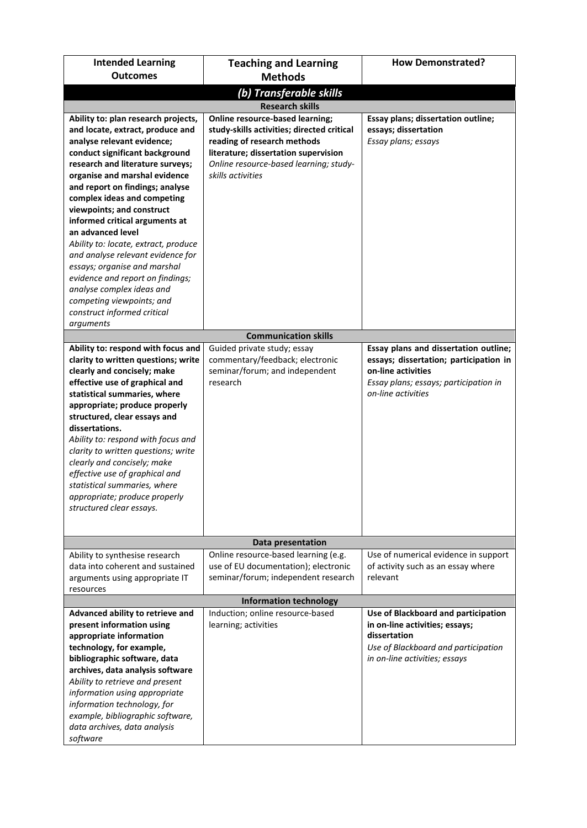| <b>Intended Learning</b><br><b>Outcomes</b>                                                                                                                                                                                                                                                                                                                                                                                                                                                                                                                                                                               | <b>Teaching and Learning</b><br><b>Methods</b>                                                                                                                                                                             | <b>How Demonstrated?</b>                                                                                                                                             |  |  |
|---------------------------------------------------------------------------------------------------------------------------------------------------------------------------------------------------------------------------------------------------------------------------------------------------------------------------------------------------------------------------------------------------------------------------------------------------------------------------------------------------------------------------------------------------------------------------------------------------------------------------|----------------------------------------------------------------------------------------------------------------------------------------------------------------------------------------------------------------------------|----------------------------------------------------------------------------------------------------------------------------------------------------------------------|--|--|
|                                                                                                                                                                                                                                                                                                                                                                                                                                                                                                                                                                                                                           |                                                                                                                                                                                                                            |                                                                                                                                                                      |  |  |
| (b) Transferable skills<br><b>Research skills</b>                                                                                                                                                                                                                                                                                                                                                                                                                                                                                                                                                                         |                                                                                                                                                                                                                            |                                                                                                                                                                      |  |  |
| Ability to: plan research projects,<br>and locate, extract, produce and<br>analyse relevant evidence;<br>conduct significant background<br>research and literature surveys;<br>organise and marshal evidence<br>and report on findings; analyse<br>complex ideas and competing<br>viewpoints; and construct<br>informed critical arguments at<br>an advanced level<br>Ability to: locate, extract, produce<br>and analyse relevant evidence for<br>essays; organise and marshal<br>evidence and report on findings;<br>analyse complex ideas and<br>competing viewpoints; and<br>construct informed critical<br>arguments | <b>Online resource-based learning;</b><br>study-skills activities; directed critical<br>reading of research methods<br>literature; dissertation supervision<br>Online resource-based learning; study-<br>skills activities | Essay plans; dissertation outline;<br>essays; dissertation<br>Essay plans; essays                                                                                    |  |  |
|                                                                                                                                                                                                                                                                                                                                                                                                                                                                                                                                                                                                                           | <b>Communication skills</b>                                                                                                                                                                                                |                                                                                                                                                                      |  |  |
| Ability to: respond with focus and<br>clarity to written questions; write<br>clearly and concisely; make<br>effective use of graphical and<br>statistical summaries, where<br>appropriate; produce properly<br>structured, clear essays and<br>dissertations.<br>Ability to: respond with focus and<br>clarity to written questions; write<br>clearly and concisely; make<br>effective use of graphical and<br>statistical summaries, where<br>appropriate; produce properly<br>structured clear essays.                                                                                                                  | Guided private study; essay<br>commentary/feedback; electronic<br>seminar/forum; and independent<br>research                                                                                                               | Essay plans and dissertation outline;<br>essays; dissertation; participation in<br>on-line activities<br>Essay plans; essays; participation in<br>on-line activities |  |  |
|                                                                                                                                                                                                                                                                                                                                                                                                                                                                                                                                                                                                                           | Data presentation                                                                                                                                                                                                          |                                                                                                                                                                      |  |  |
| Ability to synthesise research<br>data into coherent and sustained<br>arguments using appropriate IT<br>resources                                                                                                                                                                                                                                                                                                                                                                                                                                                                                                         | Online resource-based learning (e.g.<br>use of EU documentation); electronic<br>seminar/forum; independent research                                                                                                        | Use of numerical evidence in support<br>of activity such as an essay where<br>relevant                                                                               |  |  |
|                                                                                                                                                                                                                                                                                                                                                                                                                                                                                                                                                                                                                           | <b>Information technology</b>                                                                                                                                                                                              |                                                                                                                                                                      |  |  |
| Advanced ability to retrieve and<br>present information using<br>appropriate information<br>technology, for example,<br>bibliographic software, data<br>archives, data analysis software<br>Ability to retrieve and present<br>information using appropriate<br>information technology, for<br>example, bibliographic software,<br>data archives, data analysis<br>software                                                                                                                                                                                                                                               | Induction; online resource-based<br>learning; activities                                                                                                                                                                   | Use of Blackboard and participation<br>in on-line activities; essays;<br>dissertation<br>Use of Blackboard and participation<br>in on-line activities; essays        |  |  |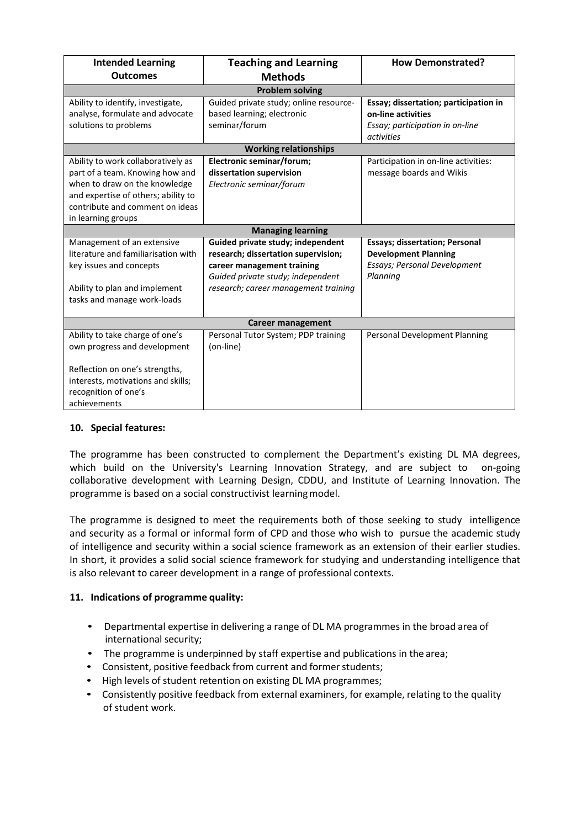| <b>Intended Learning</b><br><b>Outcomes</b>                                                                                                                                                            | <b>Teaching and Learning</b><br><b>Methods</b>                                                                                                                                      | <b>How Demonstrated?</b>                                                                                                |  |  |
|--------------------------------------------------------------------------------------------------------------------------------------------------------------------------------------------------------|-------------------------------------------------------------------------------------------------------------------------------------------------------------------------------------|-------------------------------------------------------------------------------------------------------------------------|--|--|
| <b>Problem solving</b>                                                                                                                                                                                 |                                                                                                                                                                                     |                                                                                                                         |  |  |
| Ability to identify, investigate,<br>analyse, formulate and advocate<br>solutions to problems                                                                                                          | Guided private study; online resource-<br>based learning; electronic<br>seminar/forum                                                                                               | Essay; dissertation; participation in<br>on-line activities<br>Essay; participation in on-line<br>activities            |  |  |
|                                                                                                                                                                                                        | <b>Working relationships</b>                                                                                                                                                        |                                                                                                                         |  |  |
| Ability to work collaboratively as<br>part of a team. Knowing how and<br>when to draw on the knowledge<br>and expertise of others; ability to<br>contribute and comment on ideas<br>in learning groups | Electronic seminar/forum;<br>dissertation supervision<br>Electronic seminar/forum                                                                                                   | Participation in on-line activities:<br>message boards and Wikis                                                        |  |  |
|                                                                                                                                                                                                        | <b>Managing learning</b>                                                                                                                                                            |                                                                                                                         |  |  |
| Management of an extensive<br>literature and familiarisation with<br>key issues and concepts<br>Ability to plan and implement<br>tasks and manage work-loads                                           | Guided private study; independent<br>research; dissertation supervision;<br>career management training<br>Guided private study; independent<br>research; career management training | <b>Essays; dissertation; Personal</b><br><b>Development Planning</b><br><b>Essays; Personal Development</b><br>Planning |  |  |
| <b>Career management</b>                                                                                                                                                                               |                                                                                                                                                                                     |                                                                                                                         |  |  |
| Ability to take charge of one's<br>own progress and development                                                                                                                                        | Personal Tutor System; PDP training<br>(on-line)                                                                                                                                    | Personal Development Planning                                                                                           |  |  |
| Reflection on one's strengths,<br>interests, motivations and skills;<br>recognition of one's<br>achievements                                                                                           |                                                                                                                                                                                     |                                                                                                                         |  |  |

# **10. Special features:**

The programme has been constructed to complement the Department's existing DL MA degrees, which build on the University's Learning Innovation Strategy, and are subject to on-going collaborative development with Learning Design, CDDU, and Institute of Learning Innovation. The programme is based on a social constructivist learningmodel.

The programme is designed to meet the requirements both of those seeking to study intelligence and security as a formal or informal form of CPD and those who wish to pursue the academic study of intelligence and security within a social science framework as an extension of their earlier studies. In short, it provides a solid social science framework for studying and understanding intelligence that is also relevant to career development in a range of professional contexts.

# **11. Indications of programme quality:**

- Departmental expertise in delivering a range of DL MA programmes in the broad area of international security;
- The programme is underpinned by staff expertise and publications in the area;
- Consistent, positive feedback from current and former students;
- High levels of student retention on existing DL MA programmes;
- Consistently positive feedback from external examiners, for example, relating to the quality of student work.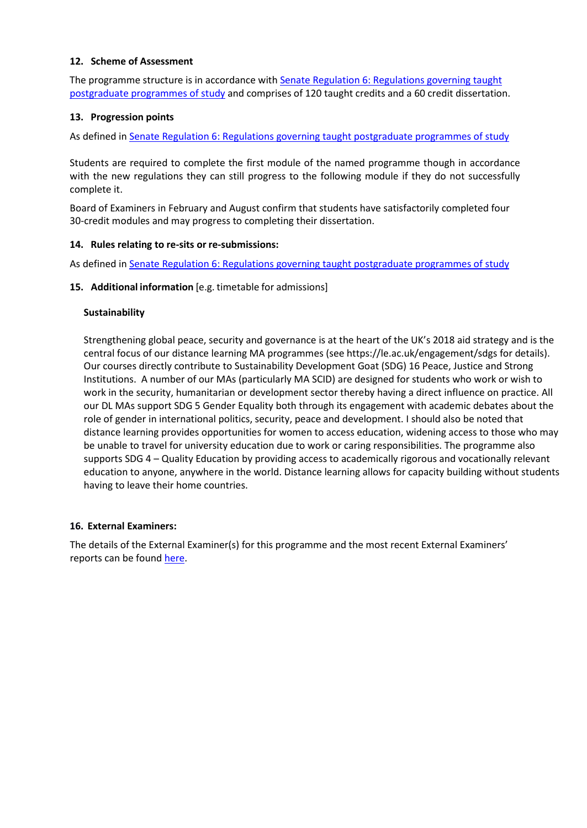## **12. Scheme of Assessment**

The programme structure is in accordance with [Senate Regulation 6: Regulations governing taught](http://www2.le.ac.uk/offices/sas2/regulations/general-regulations-for-taught-programmes) [postgraduate programmes of study](http://www2.le.ac.uk/offices/sas2/regulations/general-regulations-for-taught-programmes) and comprises of 120 taught credits and a 60 credit dissertation.

## **13. Progression points**

As defined i[n Senate Regulation 6: Regulations governing taught postgraduate programmes of study](http://www2.le.ac.uk/offices/sas2/regulations/general-regulations-for-taught-programmes)

Students are required to complete the first module of the named programme though in accordance with the new regulations they can still progress to the following module if they do not successfully complete it.

Board of Examiners in February and August confirm that students have satisfactorily completed four 30-credit modules and may progress to completing their dissertation.

## **14. Rules relating to re-sits or re-submissions:**

As defined i[n Senate Regulation 6: Regulations governing taught postgraduate programmes of study](http://www2.le.ac.uk/offices/sas2/regulations/general-regulations-for-taught-programmes)

## **15. Additional information** [e.g. timetable for admissions]

## **Sustainability**

Strengthening global peace, security and governance is at the heart of the UK's 2018 aid strategy and is the central focus of our distance learning MA programmes (see https://le.ac.uk/engagement/sdgs for details). Our courses directly contribute to Sustainability Development Goat (SDG) 16 Peace, Justice and Strong Institutions. A number of our MAs (particularly MA SCID) are designed for students who work or wish to work in the security, humanitarian or development sector thereby having a direct influence on practice. All our DL MAs support SDG 5 Gender Equality both through its engagement with academic debates about the role of gender in international politics, security, peace and development. I should also be noted that distance learning provides opportunities for women to access education, widening access to those who may be unable to travel for university education due to work or caring responsibilities. The programme also supports SDG 4 – Quality Education by providing access to academically rigorous and vocationally relevant education to anyone, anywhere in the world. Distance learning allows for capacity building without students having to leave their home countries.

## **16. External Examiners:**

The details of the External Examiner(s) for this programme and the most recent External Examiners' reports can be found [here.](https://exampapers.le.ac.uk/xmlui/handle/123456789/227)